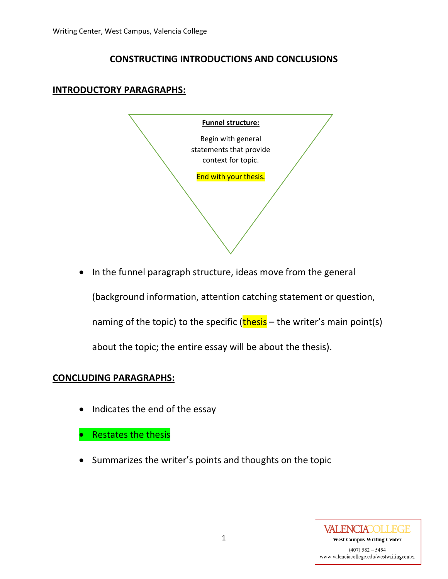# **CONSTRUCTING INTRODUCTIONS AND CONCLUSIONS**

# **INTRODUCTORY PARAGRAPHS:**



• In the funnel paragraph structure, ideas move from the general

(background information, attention catching statement or question,

naming of the topic) to the specific ( $\frac{f}{f}$  the writer's main point(s)

about the topic; the entire essay will be about the thesis).

# **CONCLUDING PARAGRAPHS:**

- Indicates the end of the essay
- Restates the thesis
- Summarizes the writer's points and thoughts on the topic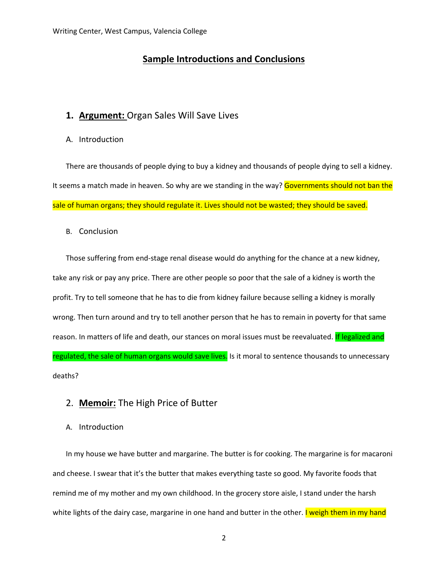## **Sample Introductions and Conclusions**

### **1. Argument:** Organ Sales Will Save Lives

#### A. Introduction

There are thousands of people dying to buy a kidney and thousands of people dying to sell a kidney. It seems a match made in heaven. So why are we standing in the way? Governments should not ban the sale of human organs; they should regulate it. Lives should not be wasted; they should be saved.

#### B. Conclusion

Those suffering from end-stage renal disease would do anything for the chance at a new kidney, take any risk or pay any price. There are other people so poor that the sale of a kidney is worth the profit. Try to tell someone that he has to die from kidney failure because selling a kidney is morally wrong. Then turn around and try to tell another person that he has to remain in poverty for that same reason. In matters of life and death, our stances on moral issues must be reevaluated. If legalized and regulated, the sale of human organs would save lives. Is it moral to sentence thousands to unnecessary deaths?

## 2. **Memoir:** The High Price of Butter

#### A. Introduction

In my house we have butter and margarine. The butter is for cooking. The margarine is for macaroni and cheese. I swear that it's the butter that makes everything taste so good. My favorite foods that remind me of my mother and my own childhood. In the grocery store aisle, I stand under the harsh white lights of the dairy case, margarine in one hand and butter in the other. I weigh them in my hand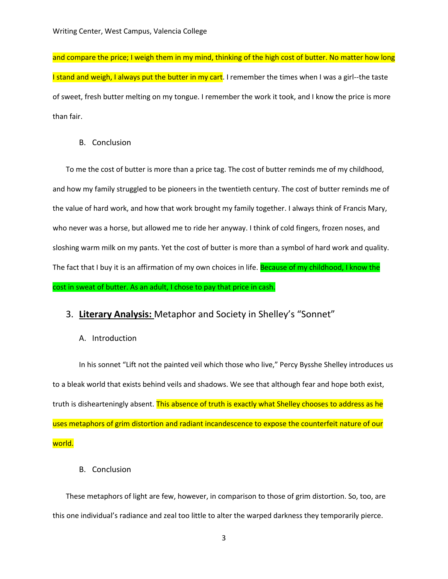and compare the price; I weigh them in my mind, thinking of the high cost of butter. No matter how long I stand and weigh, I always put the butter in my cart. I remember the times when I was a girl--the taste of sweet, fresh butter melting on my tongue. I remember the work it took, and I know the price is more than fair.

B. Conclusion

To me the cost of butter is more than a price tag. The cost of butter reminds me of my childhood, and how my family struggled to be pioneers in the twentieth century. The cost of butter reminds me of the value of hard work, and how that work brought my family together. I always think of Francis Mary, who never was a horse, but allowed me to ride her anyway. I think of cold fingers, frozen noses, and sloshing warm milk on my pants. Yet the cost of butter is more than a symbol of hard work and quality. The fact that I buy it is an affirmation of my own choices in life. Because of my childhood, I know the cost in sweat of butter. As an adult, I chose to pay that price in cash.

## 3. **Literary Analysis:** Metaphor and Society in Shelley's "Sonnet"

A. Introduction

In his sonnet "Lift not the painted veil which those who live," Percy Bysshe Shelley introduces us to a bleak world that exists behind veils and shadows. We see that although fear and hope both exist, truth is dishearteningly absent. This absence of truth is exactly what Shelley chooses to address as he uses metaphors of grim distortion and radiant incandescence to expose the counterfeit nature of our world.

B. Conclusion

These metaphors of light are few, however, in comparison to those of grim distortion. So, too, are this one individual's radiance and zeal too little to alter the warped darkness they temporarily pierce.